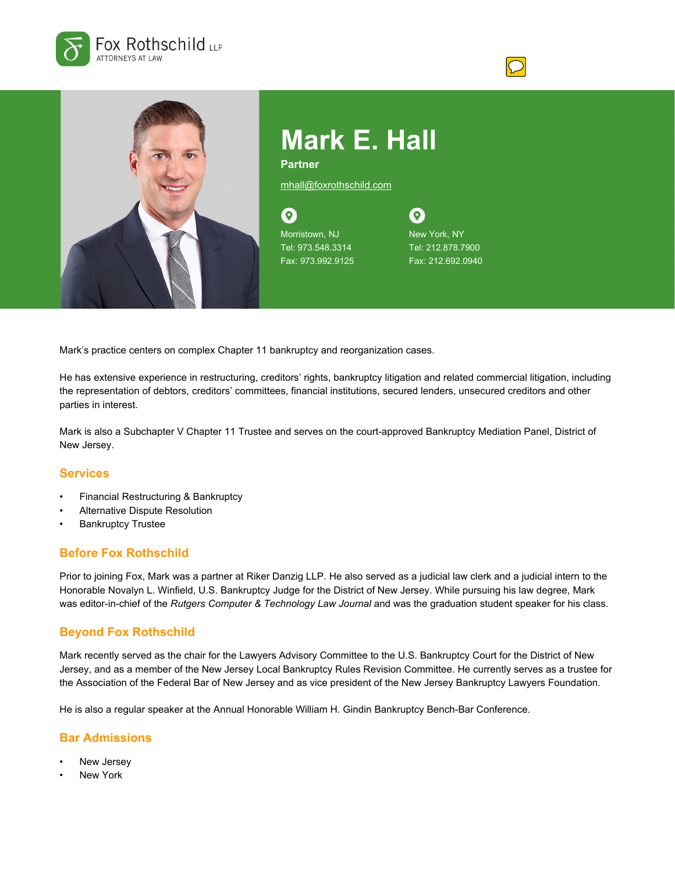



**Partner**

mhall@foxrothschild.com

 $\odot$ Morristown, NJ Tel: 973.548.3314 Fax: 973.992.9125

 $\boldsymbol{\Omega}$ New York, NY Tel: 212.878.7900 Fax: 212.692.0940

Mark's practice centers on complex Chapter 11 bankruptcy and reorganization cases.

He has extensive experience in restructuring, creditors' rights, bankruptcy litigation and related commercial litigation, including the representation of debtors, creditors' committees, financial institutions, secured lenders, unsecured creditors and other parties in interest.

Mark is also a Subchapter V Chapter 11 Trustee and serves on the court-approved Bankruptcy Mediation Panel, District of New Jersey.

#### **Services**

- Financial Restructuring & Bankruptcy
- Alternative Dispute Resolution
- **Bankruptcy Trustee**

# **Before Fox Rothschild**

Prior to joining Fox, Mark was a partner at Riker Danzig LLP. He also served as a judicial law clerk and a judicial intern to the Honorable Novalyn L. Winfield, U.S. Bankruptcy Judge for the District of New Jersey. While pursuing his law degree, Mark was editor-in-chief of the *Rutgers Computer & Technology Law Journal* and was the graduation student speaker for his class.

# **Beyond Fox Rothschild**

Mark recently served as the chair for the Lawyers Advisory Committee to the U.S. Bankruptcy Court for the District of New Jersey, and as a member of the New Jersey Local Bankruptcy Rules Revision Committee. He currently serves as a trustee for the Association of the Federal Bar of New Jersey and as vice president of the New Jersey Bankruptcy Lawyers Foundation.

He is also a regular speaker at the Annual Honorable William H. Gindin Bankruptcy Bench-Bar Conference.

#### **Bar Admissions**

- New Jersey
- New York